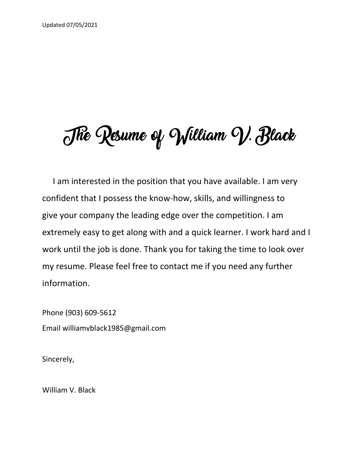# The Resume of William V. Black

 I am interested in the position that you have available. I am very confident that I possess the know-how, skills, and willingness to give your company the leading edge over the competition. I am extremely easy to get along with and a quick learner. I work hard and I work until the job is done. Thank you for taking the time to look over my resume. Please feel free to contact me if you need any further information.

Phone (903) 609-5612 Email williamvblack1985@gmail.com

Sincerely,

William V. Black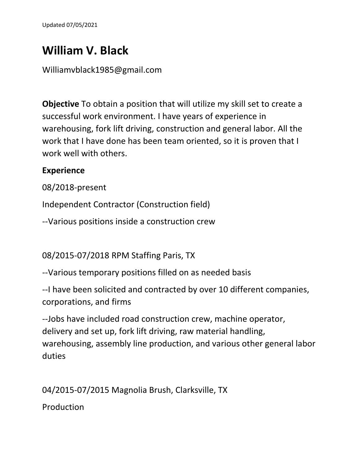# **William V. Black**

## Williamvblack1985@gmail.com

**Objective** To obtain a position that will utilize my skill set to create a successful work environment. I have years of experience in warehousing, fork lift driving, construction and general labor. All the work that I have done has been team oriented, so it is proven that I work well with others.

### **Experience**

08/2018-present

Independent Contractor (Construction field)

--Various positions inside a construction crew

08/2015-07/2018 RPM Staffing Paris, TX

--Various temporary positions filled on as needed basis

--I have been solicited and contracted by over 10 different companies, corporations, and firms

--Jobs have included road construction crew, machine operator, delivery and set up, fork lift driving, raw material handling, warehousing, assembly line production, and various other general labor duties

04/2015-07/2015 Magnolia Brush, Clarksville, TX

**Production**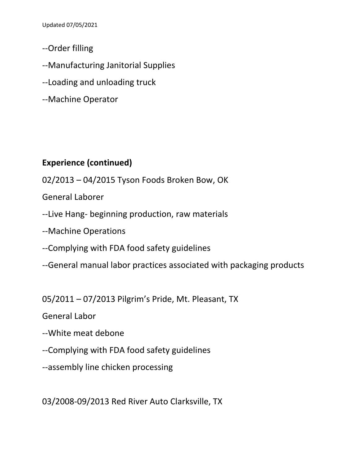Updated 07/05/2021

- --Order filling
- --Manufacturing Janitorial Supplies
- --Loading and unloading truck
- --Machine Operator

# **Experience (continued)**

- 02/2013 04/2015 Tyson Foods Broken Bow, OK
- General Laborer
- --Live Hang- beginning production, raw materials
- --Machine Operations
- --Complying with FDA food safety guidelines
- --General manual labor practices associated with packaging products

05/2011 – 07/2013 Pilgrim's Pride, Mt. Pleasant, TX

General Labor

- --White meat debone
- --Complying with FDA food safety guidelines
- --assembly line chicken processing

03/2008-09/2013 Red River Auto Clarksville, TX